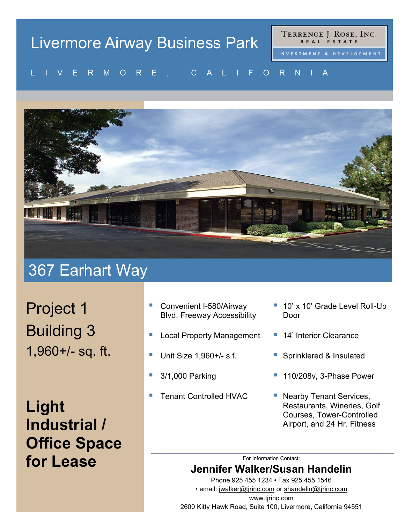# Livermore Airway Business Park

TERRENCE J. ROSE, INC. REAL ESTATE

#### VENMUNE, UALIFUNNIA LIVERMORE, CALIFORNIA



### 367 Earhart Way

Project 1 Building 3 1,960+/- sq. ft.

**Light Industrial / Office Space for Lease**

- Convenient I-580/Airway Blvd. Freeway Accessibility
- Local Property Management
- Unit Size 1,960+/- s.f.
- 3/1,000 Parking
- Tenant Controlled HVAC
- 10' x 10' Grade Level Roll-Up Door
- 14' Interior Clearance
- Sprinklered & Insulated
- 110/208v, 3-Phase Power
- Nearby Tenant Services, Restaurants, Wineries, Golf Courses, Tower-Controlled Airport, and 24 Hr. Fitness

For Information Contact:

### **Jennifer Walker/Susan Handelin**

Phone 925 455 1234 • Fax 925 455 1546 • email: [jwalker@tjrinc.com](mailto:jwalker@tjrinc.com) or [shandelin@tjrinc.com](mailto:shandelin@tjrinc.com) www.tjrinc.com 2600 Kitty Hawk Road, Suite 100, Livermore, California 94551